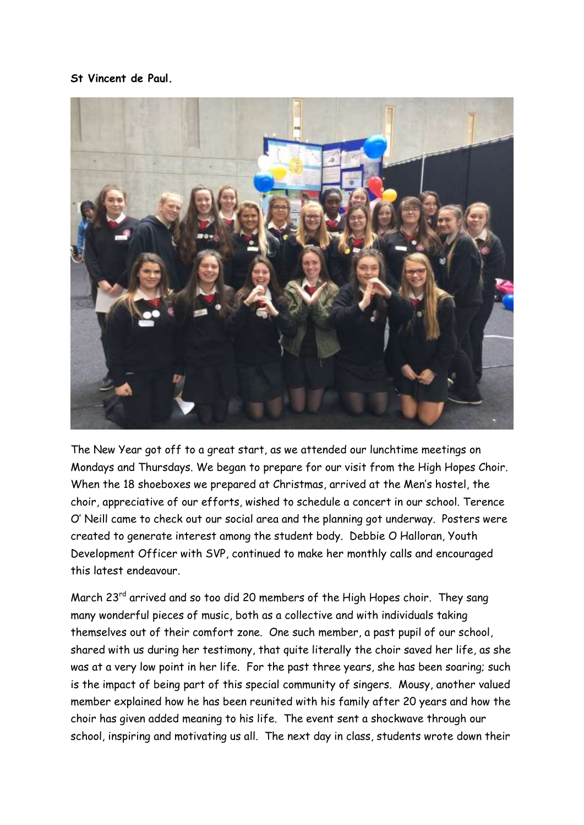## **St Vincent de Paul.**



The New Year got off to a great start, as we attended our lunchtime meetings on Mondays and Thursdays. We began to prepare for our visit from the High Hopes Choir. When the 18 shoeboxes we prepared at Christmas, arrived at the Men's hostel, the choir, appreciative of our efforts, wished to schedule a concert in our school. Terence O' Neill came to check out our social area and the planning got underway. Posters were created to generate interest among the student body. Debbie O Halloran, Youth Development Officer with SVP, continued to make her monthly calls and encouraged this latest endeavour.

March 23rd arrived and so too did 20 members of the High Hopes choir. They sang many wonderful pieces of music, both as a collective and with individuals taking themselves out of their comfort zone. One such member, a past pupil of our school, shared with us during her testimony, that quite literally the choir saved her life, as she was at a very low point in her life. For the past three years, she has been soaring; such is the impact of being part of this special community of singers. Mousy, another valued member explained how he has been reunited with his family after 20 years and how the choir has given added meaning to his life. The event sent a shockwave through our school, inspiring and motivating us all. The next day in class, students wrote down their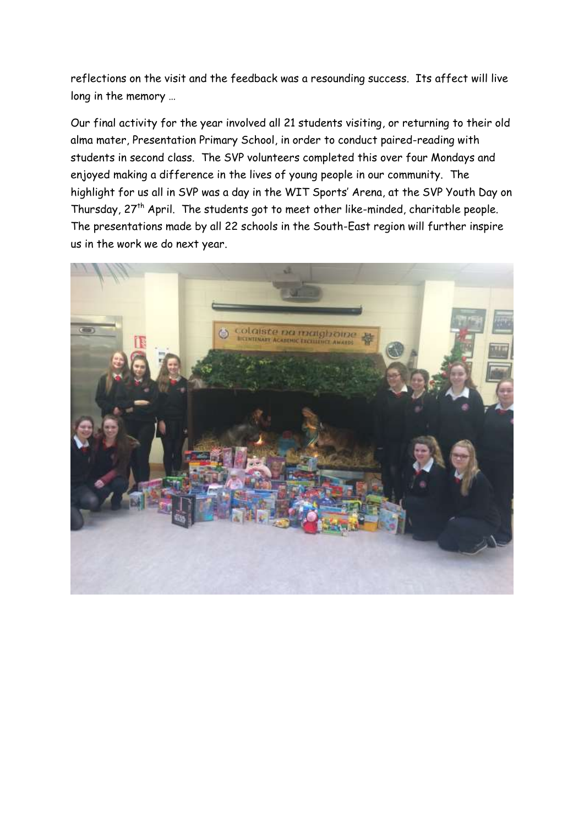reflections on the visit and the feedback was a resounding success. Its affect will live long in the memory …

Our final activity for the year involved all 21 students visiting, or returning to their old alma mater, Presentation Primary School, in order to conduct paired-reading with students in second class. The SVP volunteers completed this over four Mondays and enjoyed making a difference in the lives of young people in our community. The highlight for us all in SVP was a day in the WIT Sports' Arena, at the SVP Youth Day on Thursday, 27<sup>th</sup> April. The students got to meet other like-minded, charitable people. The presentations made by all 22 schools in the South-East region will further inspire us in the work we do next year.